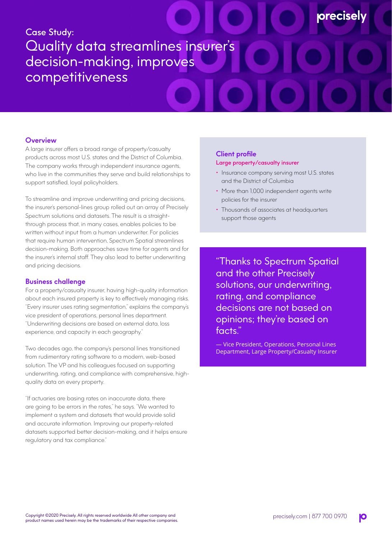# Case Study: Quality data streamlines insurer's decision-making, improves competitiveness

# **Overview**

A large insurer offers a broad range of property/casualty products across most U.S. states and the District of Columbia. The company works through independent insurance agents, who live in the communities they serve and build relationships to support satisfied, loyal policyholders.

To streamline and improve underwriting and pricing decisions, the insurer's personal-lines group rolled out an array of Precisely Spectrum solutions and datasets. The result is a straightthrough process that, in many cases, enables policies to be written without input from a human underwriter. For policies that require human intervention, Spectrum Spatial streamlines decision-making. Both approaches save time for agents and for the insurer's internal staff. They also lead to better underwriting and pricing decisions.

#### **Business challenge**

For a property/casualty insurer, having high-quality information about each insured property is key to effectively managing risks. "Every insurer uses rating segmentation," explains the company's vice president of operations, personal lines department. "Underwriting decisions are based on external data, loss experience, and capacity in each geography."

Two decades ago, the company's personal lines transitioned from rudimentary rating software to a modern, web-based solution. The VP and his colleagues focused on supporting underwriting, rating, and compliance with comprehensive, highquality data on every property.

"If actuaries are basing rates on inaccurate data, there are going to be errors in the rates," he says. "We wanted to implement a system and datasets that would provide solid and accurate information. Improving our property-related datasets supported better decision-making, and it helps ensure regulatory and tax compliance."

## **Client profile**  Large property/casualty insurer

• Insurance company serving most U.S. states and the District of Columbia

**orecisel** 

- More than 1,000 independent agents write policies for the insurer
- Thousands of associates at headquarters support those agents

"Thanks to Spectrum Spatial and the other Precisely solutions, our underwriting, rating, and compliance decisions are not based on opinions; they're based on facts."

— Vice President, Operations, Personal Lines Department, Large Property/Casualty Insurer